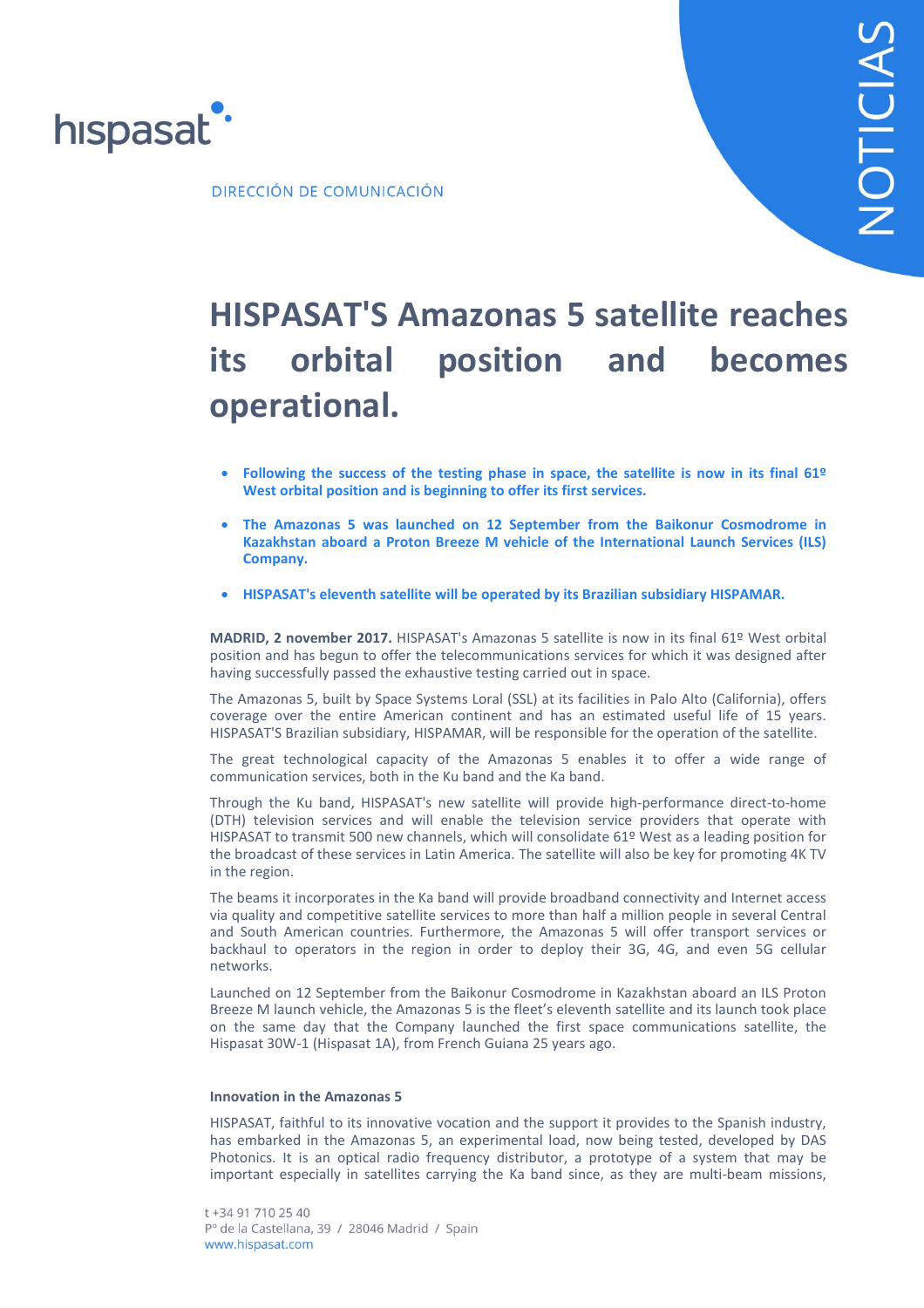

DIRECCIÓN DE COMUNICACIÓN

## **HISPASAT'S Amazonas 5 satellite reaches its orbital position and becomes operational.**

- **Following the success of the testing phase in space, the satellite is now in its final 61º West orbital position and is beginning to offer its first services.**
- **The Amazonas 5 was launched on 12 September from the Baikonur Cosmodrome in Kazakhstan aboard a Proton Breeze M vehicle of the International Launch Services (ILS) Company.**
- **HISPASAT's eleventh satellite will be operated by its Brazilian subsidiary HISPAMAR.**

**MADRID, 2 november 2017.** HISPASAT's Amazonas 5 satellite is now in its final 61º West orbital position and has begun to offer the telecommunications services for which it was designed after having successfully passed the exhaustive testing carried out in space.

The Amazonas 5, built by Space Systems Loral (SSL) at its facilities in Palo Alto (California), offers coverage over the entire American continent and has an estimated useful life of 15 years. HISPASAT'S Brazilian subsidiary, HISPAMAR, will be responsible for the operation of the satellite.

The great technological capacity of the Amazonas 5 enables it to offer a wide range of communication services, both in the Ku band and the Ka band.

Through the Ku band, HISPASAT's new satellite will provide high-performance direct-to-home (DTH) television services and will enable the television service providers that operate with HISPASAT to transmit 500 new channels, which will consolidate 61º West as a leading position for the broadcast of these services in Latin America. The satellite will also be key for promoting 4K TV in the region.

The beams it incorporates in the Ka band will provide broadband connectivity and Internet access via quality and competitive satellite services to more than half a million people in several Central and South American countries. Furthermore, the Amazonas 5 will offer transport services or backhaul to operators in the region in order to deploy their 3G, 4G, and even 5G cellular networks.

Launched on 12 September from the Baikonur Cosmodrome in Kazakhstan aboard an ILS Proton Breeze M launch vehicle, the Amazonas 5 is the fleet's eleventh satellite and its launch took place on the same day that the Company launched the first space communications satellite, the Hispasat 30W-1 (Hispasat 1A), from French Guiana 25 years ago.

## **Innovation in the Amazonas 5**

HISPASAT, faithful to its innovative vocation and the support it provides to the Spanish industry, has embarked in the Amazonas 5, an experimental load, now being tested, developed by DAS Photonics. It is an optical radio frequency distributor, a prototype of a system that may be important especially in satellites carrying the Ka band since, as they are multi-beam missions,